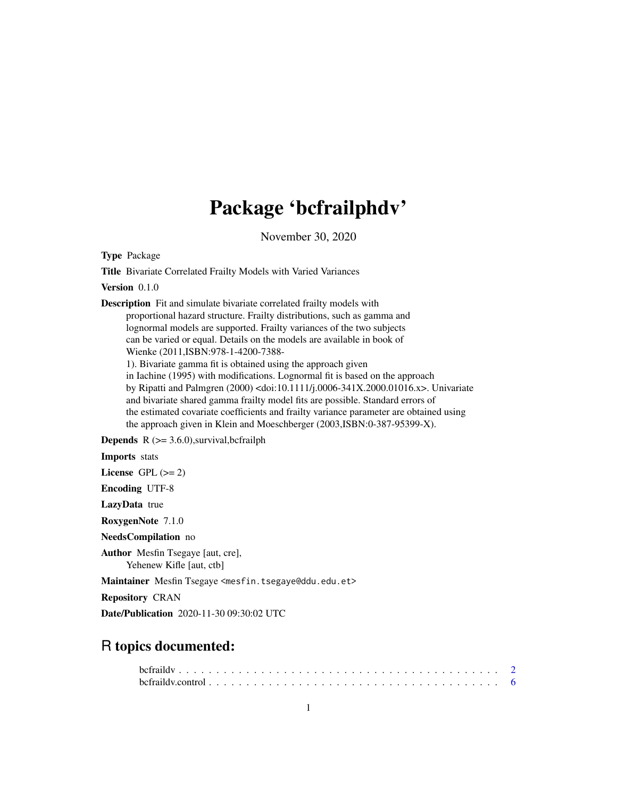# Package 'bcfrailphdv'

November 30, 2020

<span id="page-0-0"></span>Type Package

Title Bivariate Correlated Frailty Models with Varied Variances

Version 0.1.0

Description Fit and simulate bivariate correlated frailty models with proportional hazard structure. Frailty distributions, such as gamma and lognormal models are supported. Frailty variances of the two subjects can be varied or equal. Details on the models are available in book of Wienke (2011,ISBN:978-1-4200-7388-

1). Bivariate gamma fit is obtained using the approach given in Iachine (1995) with modifications. Lognormal fit is based on the approach by Ripatti and Palmgren (2000) <doi:10.1111/j.0006-341X.2000.01016.x>. Univariate and bivariate shared gamma frailty model fits are possible. Standard errors of the estimated covariate coefficients and frailty variance parameter are obtained using the approach given in Klein and Moeschberger (2003,ISBN:0-387-95399-X).

**Depends**  $R$  ( $>= 3.6.0$ ), survival, be frailph

Imports stats

License GPL  $(>= 2)$ 

Encoding UTF-8

LazyData true

RoxygenNote 7.1.0

NeedsCompilation no

Author Mesfin Tsegaye [aut, cre], Yehenew Kifle [aut, ctb]

Maintainer Mesfin Tsegaye <mesfin.tsegaye@ddu.edu.et>

Repository CRAN

Date/Publication 2020-11-30 09:30:02 UTC

# R topics documented: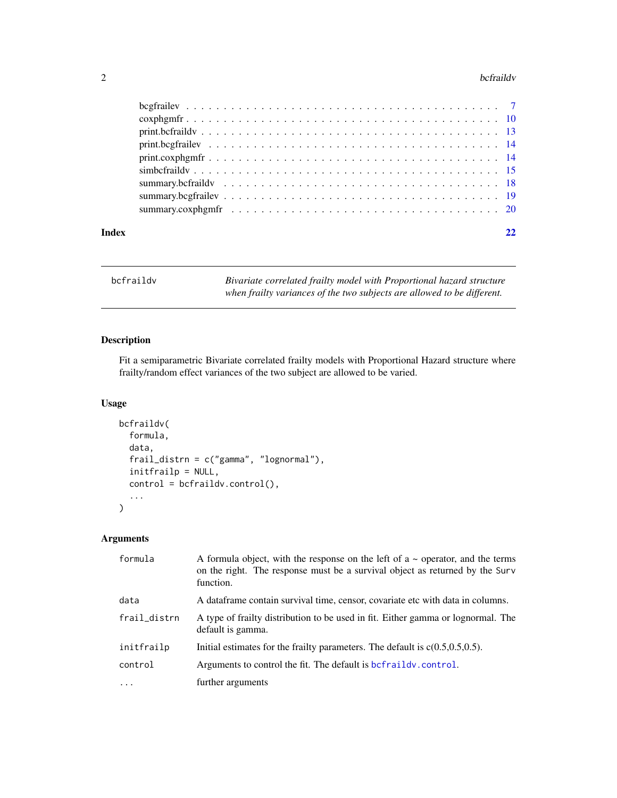#### <span id="page-1-0"></span>2 befraildv

| Index | 22 |
|-------|----|
|       |    |
|       |    |
|       |    |
|       |    |
|       |    |
|       |    |
|       |    |
|       |    |
|       |    |

<span id="page-1-1"></span>bcfraildv *Bivariate correlated frailty model with Proportional hazard structure when frailty variances of the two subjects are allowed to be different.*

# Description

Fit a semiparametric Bivariate correlated frailty models with Proportional Hazard structure where frailty/random effect variances of the two subject are allowed to be varied.

# Usage

```
bcfraildv(
  formula,
  data,
  frail_distrn = c("gamma", "lognormal"),
  initfrailp = NULL,
  control = befraidv.contrib(),
  ...
)
```
# Arguments

| formula      | A formula object, with the response on the left of $a \sim$ operator, and the terms<br>on the right. The response must be a survival object as returned by the Surv<br>function. |
|--------------|----------------------------------------------------------------------------------------------------------------------------------------------------------------------------------|
| data         | A data frame contain survival time, censor, covariate etc with data in columns.                                                                                                  |
| frail_distrn | A type of frailty distribution to be used in fit. Either gamma or lognormal. The<br>default is gamma.                                                                            |
| initfrailp   | Initial estimates for the frailty parameters. The default is $c(0.5, 0.5, 0.5)$ .                                                                                                |
| control      | Arguments to control the fit. The default is befraildy.control.                                                                                                                  |
| $\ddots$ .   | further arguments                                                                                                                                                                |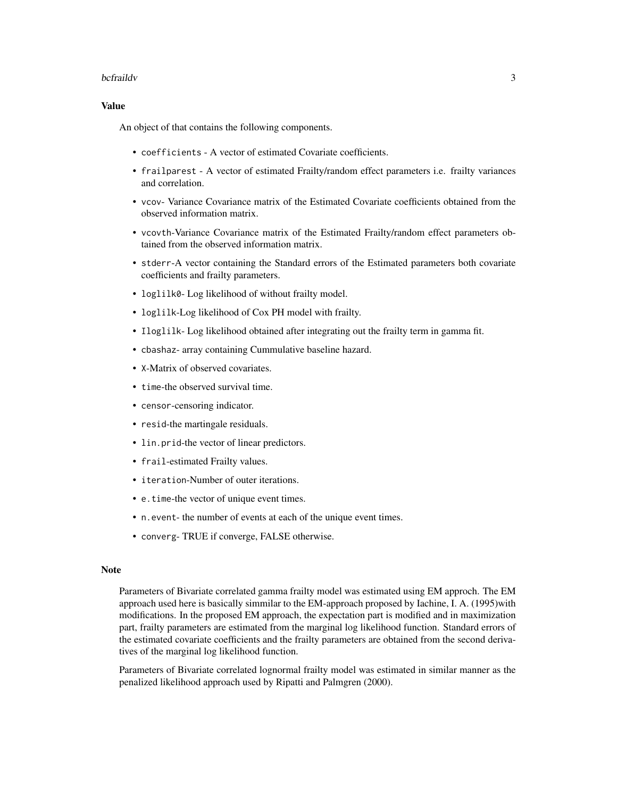#### bcfraildv 3

# Value

An object of that contains the following components.

- coefficients A vector of estimated Covariate coefficients.
- frailparest A vector of estimated Frailty/random effect parameters i.e. frailty variances and correlation.
- vcov- Variance Covariance matrix of the Estimated Covariate coefficients obtained from the observed information matrix.
- vcovth-Variance Covariance matrix of the Estimated Frailty/random effect parameters obtained from the observed information matrix.
- stderr-A vector containing the Standard errors of the Estimated parameters both covariate coefficients and frailty parameters.
- loglilk0- Log likelihood of without frailty model.
- loglilk-Log likelihood of Cox PH model with frailty.
- Iloglilk- Log likelihood obtained after integrating out the frailty term in gamma fit.
- cbashaz- array containing Cummulative baseline hazard.
- X-Matrix of observed covariates.
- time-the observed survival time.
- censor-censoring indicator.
- resid-the martingale residuals.
- lin.prid-the vector of linear predictors.
- frail-estimated Frailty values.
- iteration-Number of outer iterations.
- e.time-the vector of unique event times.
- n.event- the number of events at each of the unique event times.
- converg- TRUE if converge, FALSE otherwise.

# **Note**

Parameters of Bivariate correlated gamma frailty model was estimated using EM approch. The EM approach used here is basically simmilar to the EM-approach proposed by Iachine, I. A. (1995)with modifications. In the proposed EM approach, the expectation part is modified and in maximization part, frailty parameters are estimated from the marginal log likelihood function. Standard errors of the estimated covariate coefficients and the frailty parameters are obtained from the second derivatives of the marginal log likelihood function.

Parameters of Bivariate correlated lognormal frailty model was estimated in similar manner as the penalized likelihood approach used by Ripatti and Palmgren (2000).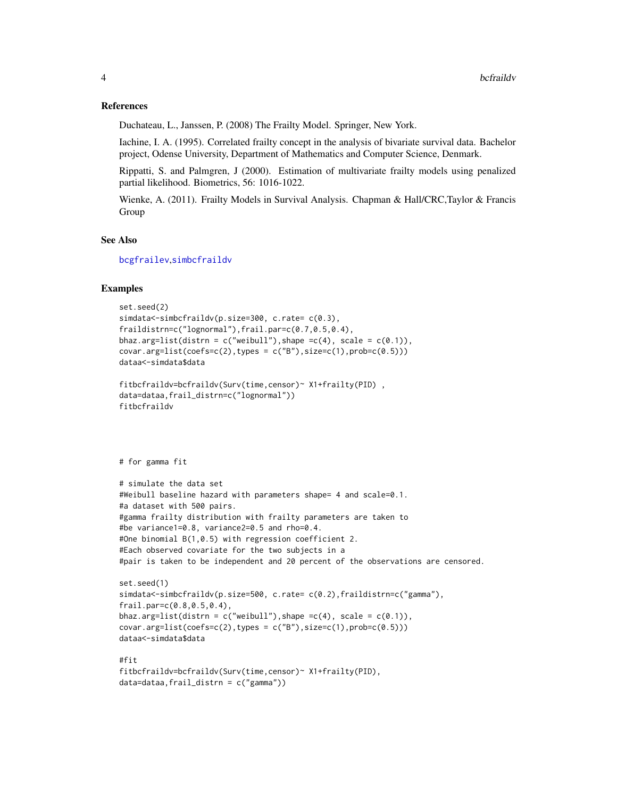#### <span id="page-3-0"></span>References

Duchateau, L., Janssen, P. (2008) The Frailty Model. Springer, New York.

Iachine, I. A. (1995). Correlated frailty concept in the analysis of bivariate survival data. Bachelor project, Odense University, Department of Mathematics and Computer Science, Denmark.

Rippatti, S. and Palmgren, J (2000). Estimation of multivariate frailty models using penalized partial likelihood. Biometrics, 56: 1016-1022.

Wienke, A. (2011). Frailty Models in Survival Analysis. Chapman & Hall/CRC,Taylor & Francis Group

# See Also

[bcgfrailev](#page-6-1),[simbcfraildv](#page-14-1)

# Examples

```
set.seed(2)
simdata<-simbcfraildv(p.size=300, c.rate= c(0.3),
fraildistrn=c("lognormal"),frail.par=c(0.7,0.5,0.4),
bhaz.arg=list(distrn = c("weibull"), shape =c(4), scale = c(0.1)),
covar.arg=list(coefs=c(2),types = c("B"),size=c(1),prob=c(0.5)))
dataa<-simdata$data
```

```
fitbcfraildv=bcfraildv(Surv(time,censor)~ X1+frailty(PID) ,
data=dataa,frail_distrn=c("lognormal"))
fitbcfraildv
```
# for gamma fit

```
# simulate the data set
#Weibull baseline hazard with parameters shape= 4 and scale=0.1.
#a dataset with 500 pairs.
#gamma frailty distribution with frailty parameters are taken to
#be variance1=0.8, variance2=0.5 and rho=0.4.
#One binomial B(1,0.5) with regression coefficient 2.
#Each observed covariate for the two subjects in a
#pair is taken to be independent and 20 percent of the observations are censored.
```

```
set.seed(1)
simdata<-simbcfraildv(p.size=500, c.rate= c(0.2),fraildistrn=c("gamma"),
frail.par=c(0.8,0.5,0.4),
bhaz.arg=list(distrn = c("weibull"), shape = c(4), scale = c(0.1)),covar.\arg=list(coeffs=c(2),types = c("B"),size=c(1),probe=c(0.5)))dataa<-simdata$data
```
#fit fitbcfraildv=bcfraildv(Surv(time,censor)~ X1+frailty(PID), data=dataa,frail\_distrn = c("gamma"))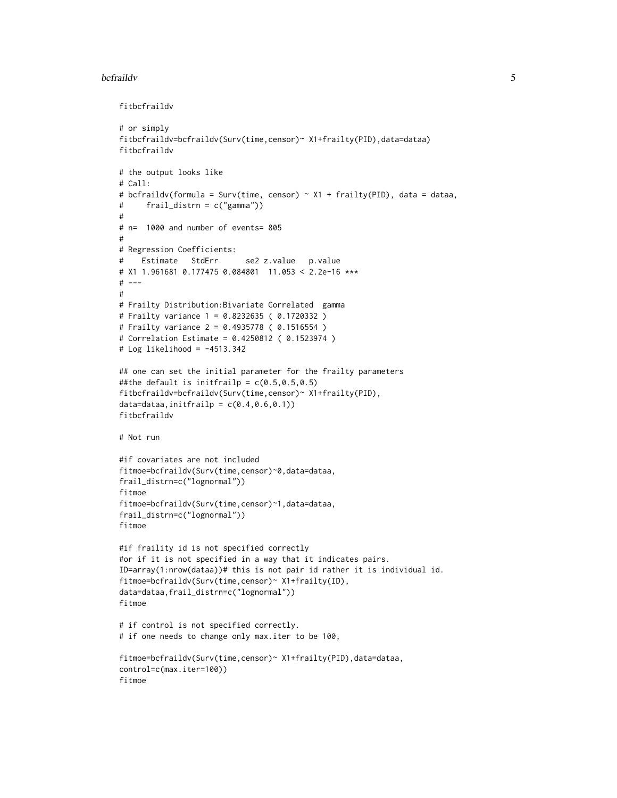#### bcfraildv 5

fitbcfraildv

```
# or simply
fitbcfraildv=bcfraildv(Surv(time,censor)~ X1+frailty(PID),data=dataa)
fitbcfraildv
# the output looks like
# Call:
# bcfraildv(formula = Surv(time, censor) ~ X1 + frailty(PID), data = dataa,
# frail_distrn = c("gamma"))
#
# n= 1000 and number of events= 805
#
# Regression Coefficients:
# Estimate StdErr se2 z.value p.value
# X1 1.961681 0.177475 0.084801 11.053 < 2.2e-16 ***
# ---#
# Frailty Distribution:Bivariate Correlated gamma
# Frailty variance 1 = 0.8232635 ( 0.1720332 )
# Frailty variance 2 = 0.4935778 ( 0.1516554 )
# Correlation Estimate = 0.4250812 ( 0.1523974 )
# Log likelihood = -4513.342
## one can set the initial parameter for the frailty parameters
##the default is initfrailp = c(0.5, 0.5, 0.5)fitbcfraildv=bcfraildv(Surv(time,censor)~ X1+frailty(PID),
data=dataa,initfrailp = c(0.4, 0.6, 0.1))
fitbcfraildv
# Not run
#if covariates are not included
fitmoe=bcfraildv(Surv(time,censor)~0,data=dataa,
frail_distrn=c("lognormal"))
fitmoe
fitmoe=bcfraildv(Surv(time,censor)~1,data=dataa,
frail_distrn=c("lognormal"))
fitmoe
#if fraility id is not specified correctly
#or if it is not specified in a way that it indicates pairs.
ID=array(1:nrow(dataa))# this is not pair id rather it is individual id.
fitmoe=bcfraildv(Surv(time,censor)~ X1+frailty(ID),
data=dataa,frail_distrn=c("lognormal"))
fitmoe
# if control is not specified correctly.
# if one needs to change only max.iter to be 100,
fitmoe=bcfraildv(Surv(time,censor)~ X1+frailty(PID),data=dataa,
control=c(max.iter=100))
fitmoe
```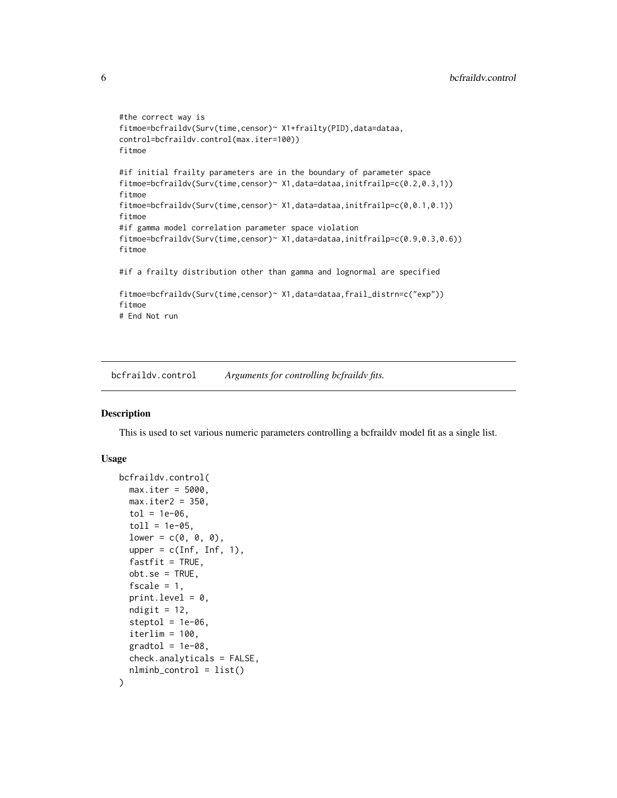```
#the correct way is
fitmoe=bcfraildv(Surv(time,censor)~ X1+frailty(PID),data=dataa,
control=bcfraildv.control(max.iter=100))
fitmoe
#if initial frailty parameters are in the boundary of parameter space
fitmoe=bcfraildv(Surv(time,censor)~ X1,data=dataa,initfrailp=c(0.2,0.3,1))
fitmoe
fitmoe=bcfraildv(Surv(time,censor)~ X1,data=dataa,initfrailp=c(0,0.1,0.1))
fitmoe
#if gamma model correlation parameter space violation
fitmoe=bcfraildv(Surv(time,censor)~ X1,data=dataa,initfrailp=c(0.9,0.3,0.6))
fitmoe
#if a frailty distribution other than gamma and lognormal are specified
fitmoe=bcfraildv(Surv(time,censor)~ X1,data=dataa,frail_distrn=c("exp"))
fitmoe
# End Not run
```
<span id="page-5-1"></span>bcfraildv.control *Arguments for controlling bcfraildv fits.*

# Description

This is used to set various numeric parameters controlling a bcfraildv model fit as a single list.

## Usage

```
bcfraildv.control(
 max.iter = 5000,
 max.iter2 = 350,
  tol = 1e-06,
  toll = 1e-05,
  lower = c(0, 0, 0),upper = c(Inf, Inf, 1),
  fastfit = TRUE,obt.se = TRUE,fscale = 1,print.level = 0,
 ndigit = 12,
  steptol = 1e-06.
  iterlim = 100,gradtol = 1e-08.
 check.analyticals = FALSE,
  nlminb_control = list()
)
```
<span id="page-5-0"></span>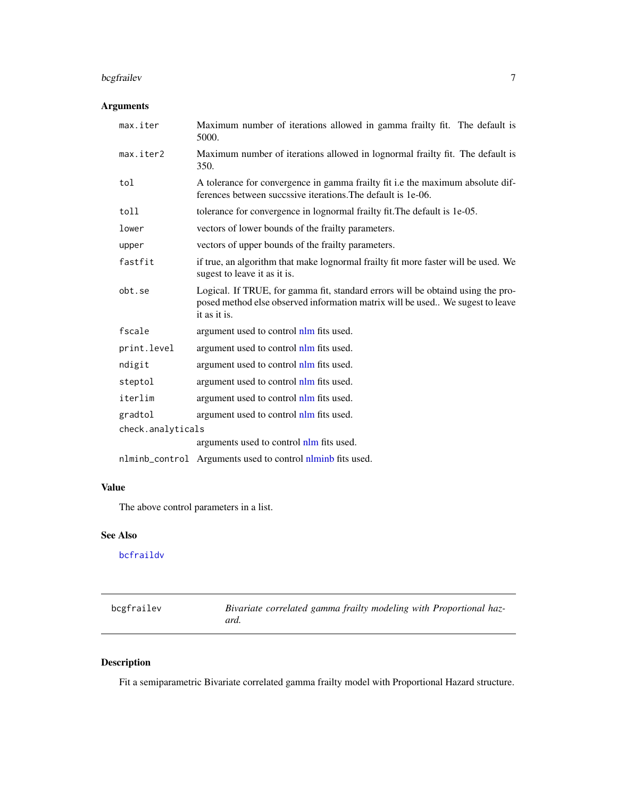# <span id="page-6-0"></span>bcgfrailev 7

# Arguments

| max.iter          | Maximum number of iterations allowed in gamma frailty fit. The default is<br>5000.                                                                                               |
|-------------------|----------------------------------------------------------------------------------------------------------------------------------------------------------------------------------|
| max.iter2         | Maximum number of iterations allowed in lognormal frailty fit. The default is<br>350.                                                                                            |
| tol               | A tolerance for convergence in gamma frailty fit i.e the maximum absolute dif-<br>ferences between succssive iterations. The default is 1e-06.                                   |
| toll              | tolerance for convergence in lognormal frailty fit. The default is 1e-05.                                                                                                        |
| lower             | vectors of lower bounds of the frailty parameters.                                                                                                                               |
| upper             | vectors of upper bounds of the frailty parameters.                                                                                                                               |
| fastfit           | if true, an algorithm that make lognormal frailty fit more faster will be used. We<br>sugest to leave it as it is.                                                               |
| obt.se            | Logical. If TRUE, for gamma fit, standard errors will be obtaind using the pro-<br>posed method else observed information matrix will be used We sugest to leave<br>it as it is. |
| fscale            | argument used to control nlm fits used.                                                                                                                                          |
| print.level       | argument used to control nlm fits used.                                                                                                                                          |
| ndigit            | argument used to control nlm fits used.                                                                                                                                          |
| steptol           | argument used to control nlm fits used.                                                                                                                                          |
| iterlim           | argument used to control nlm fits used.                                                                                                                                          |
| gradtol           | argument used to control nlm fits used.                                                                                                                                          |
| check.analyticals |                                                                                                                                                                                  |
|                   | arguments used to control nlm fits used.                                                                                                                                         |
|                   | nlminb_control Arguments used to control nlminb fits used.                                                                                                                       |

# Value

The above control parameters in a list.

# See Also

[bcfraildv](#page-1-1)

<span id="page-6-1"></span>

| bcgfrailev | Bivariate correlated gamma frailty modeling with Proportional haz- |
|------------|--------------------------------------------------------------------|
|            | ard.                                                               |

# Description

Fit a semiparametric Bivariate correlated gamma frailty model with Proportional Hazard structure.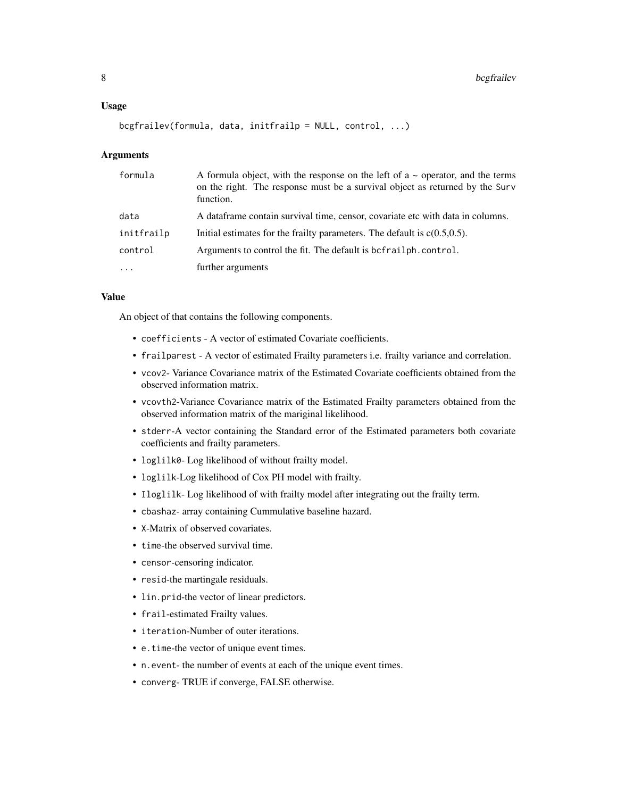#### Usage

```
bcgfrailev(formula, data, initfrailp = NULL, control, ...)
```
# Arguments

| formula    | A formula object, with the response on the left of $a \sim$ operator, and the terms<br>on the right. The response must be a survival object as returned by the Surv<br>function. |
|------------|----------------------------------------------------------------------------------------------------------------------------------------------------------------------------------|
| data       | A data frame contain survival time, censor, covariate etc with data in columns.                                                                                                  |
| initfrailp | Initial estimates for the frailty parameters. The default is $c(0.5, 0.5)$ .                                                                                                     |
| control    | Arguments to control the fit. The default is befrailph.control.                                                                                                                  |
| $\cdots$   | further arguments                                                                                                                                                                |

#### Value

An object of that contains the following components.

- coefficients A vector of estimated Covariate coefficients.
- frailparest A vector of estimated Frailty parameters i.e. frailty variance and correlation.
- vcov2- Variance Covariance matrix of the Estimated Covariate coefficients obtained from the observed information matrix.
- vcovth2-Variance Covariance matrix of the Estimated Frailty parameters obtained from the observed information matrix of the mariginal likelihood.
- stderr-A vector containing the Standard error of the Estimated parameters both covariate coefficients and frailty parameters.
- loglilk0- Log likelihood of without frailty model.
- loglilk-Log likelihood of Cox PH model with frailty.
- Iloglilk- Log likelihood of with frailty model after integrating out the frailty term.
- cbashaz- array containing Cummulative baseline hazard.
- X-Matrix of observed covariates.
- time-the observed survival time.
- censor-censoring indicator.
- resid-the martingale residuals.
- lin.prid-the vector of linear predictors.
- frail-estimated Frailty values.
- iteration-Number of outer iterations.
- e.time-the vector of unique event times.
- n.event- the number of events at each of the unique event times.
- converg- TRUE if converge, FALSE otherwise.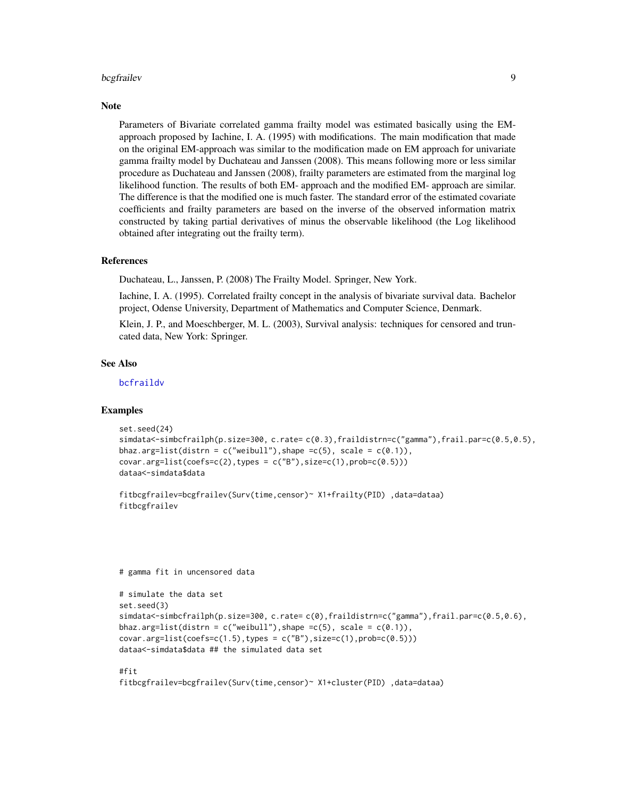#### <span id="page-8-0"></span>bcgfrailev 90 and 200 and 200 and 200 and 200 and 200 and 200 and 200 and 200 and 200 and 200 and 200 and 200

#### **Note**

Parameters of Bivariate correlated gamma frailty model was estimated basically using the EMapproach proposed by Iachine, I. A. (1995) with modifications. The main modification that made on the original EM-approach was similar to the modification made on EM approach for univariate gamma frailty model by Duchateau and Janssen (2008). This means following more or less similar procedure as Duchateau and Janssen (2008), frailty parameters are estimated from the marginal log likelihood function. The results of both EM- approach and the modified EM- approach are similar. The difference is that the modified one is much faster. The standard error of the estimated covariate coefficients and frailty parameters are based on the inverse of the observed information matrix constructed by taking partial derivatives of minus the observable likelihood (the Log likelihood obtained after integrating out the frailty term).

#### References

Duchateau, L., Janssen, P. (2008) The Frailty Model. Springer, New York.

Iachine, I. A. (1995). Correlated frailty concept in the analysis of bivariate survival data. Bachelor project, Odense University, Department of Mathematics and Computer Science, Denmark.

Klein, J. P., and Moeschberger, M. L. (2003), Survival analysis: techniques for censored and truncated data, New York: Springer.

### See Also

[bcfraildv](#page-1-1)

#### Examples

```
set.seed(24)
simdata<-simbcfrailph(p.size=300, c.rate= c(0.3),fraildistrn=c("gamma"),frail.par=c(0.5,0.5),
bhaz.arg=list(distrn = c("weibull"), shape =c(5), scale = c(0.1)),
covar.arg=list(coefs=c(2),types = c("B"),size=c(1),prob=c(0.5)))
dataa<-simdata$data
```

```
fitbcgfrailev=bcgfrailev(Surv(time,censor)~ X1+frailty(PID) ,data=dataa)
fitbcgfrailev
```
# gamma fit in uncensored data

```
# simulate the data set
set.seed(3)
simdata<-simbcfrailph(p.size=300, c.rate= c(0),fraildistrn=c("gamma"),frail.par=c(0.5,0.6),
bhaz.arg=list(distrn = c("weibull"), shape =c(5), scale = c(0.1)),
covar.arg=list(coefs=c(1.5),types = c("B"),size=c(1),prob=c(0.5)))
dataa<-simdata$data ## the simulated data set
```
# #fit

```
fitbcgfrailev=bcgfrailev(Surv(time,censor)~ X1+cluster(PID) ,data=dataa)
```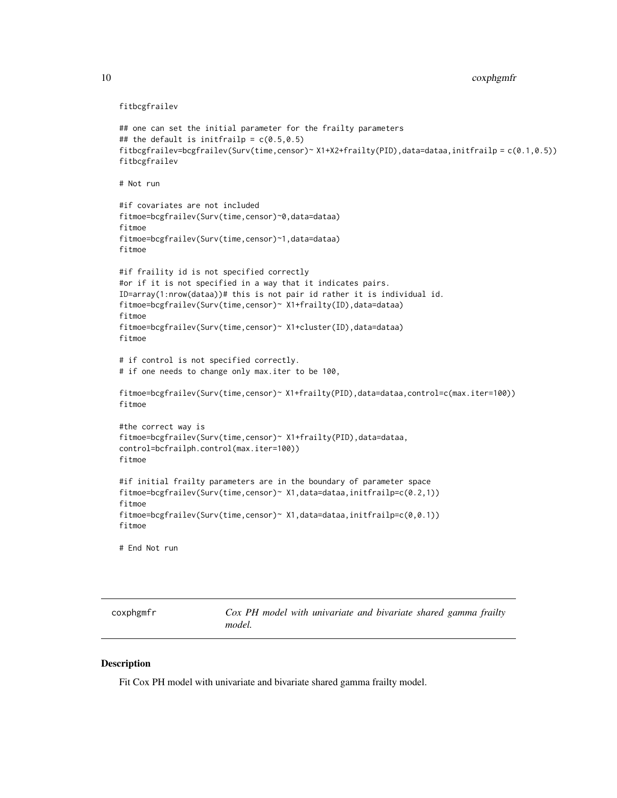fitbcgfrailev

```
## one can set the initial parameter for the frailty parameters
## the default is initfrailp = c(0.5, 0.5)fitbcgfrailev=bcgfrailev(Surv(time,censor)~ X1+X2+frailty(PID),data=dataa,initfrailp = c(0.1,0.5))
fitbcgfrailev
# Not run
#if covariates are not included
fitmoe=bcgfrailev(Surv(time,censor)~0,data=dataa)
fitmoe
fitmoe=bcgfrailev(Surv(time,censor)~1,data=dataa)
fitmoe
#if fraility id is not specified correctly
#or if it is not specified in a way that it indicates pairs.
ID=array(1:nrow(dataa))# this is not pair id rather it is individual id.
fitmoe=bcgfrailev(Surv(time,censor)~ X1+frailty(ID),data=dataa)
fitmoe
fitmoe=bcgfrailev(Surv(time,censor)~ X1+cluster(ID),data=dataa)
fitmoe
# if control is not specified correctly.
# if one needs to change only max.iter to be 100,
fitmoe=bcgfrailev(Surv(time,censor)~ X1+frailty(PID),data=dataa,control=c(max.iter=100))
fitmoe
#the correct way is
fitmoe=bcgfrailev(Surv(time,censor)~ X1+frailty(PID),data=dataa,
control=bcfrailph.control(max.iter=100))
fitmoe
#if initial frailty parameters are in the boundary of parameter space
fitmoe=bcgfrailev(Surv(time,censor)~ X1,data=dataa,initfrailp=c(0.2,1))
fitmoe
fitmoe=bcgfrailev(Surv(time,censor)~X1,data=dataa,initfrailp=c(0,0.1))
fitmoe
# End Not run
```
<span id="page-9-1"></span>coxphgmfr *Cox PH model with univariate and bivariate shared gamma frailty model.*

#### Description

Fit Cox PH model with univariate and bivariate shared gamma frailty model.

<span id="page-9-0"></span>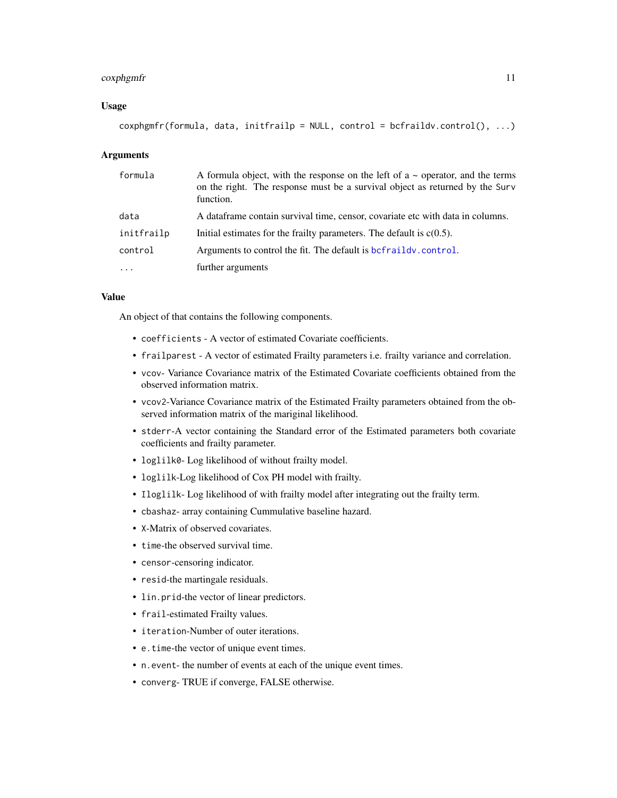#### <span id="page-10-0"></span>coxphgmfr the comparation of the contract of the contract of the contract of the contract of the contract of the contract of the contract of the contract of the contract of the contract of the contract of the contract of t

#### Usage

```
coshg\sqrt{f} (formula, data, initfrailp = NULL, control = bcfraildv.control(), ...)
```
#### Arguments

| formula    | A formula object, with the response on the left of a $\sim$ operator, and the terms<br>on the right. The response must be a survival object as returned by the Surv<br>function. |
|------------|----------------------------------------------------------------------------------------------------------------------------------------------------------------------------------|
| data       | A data frame contain survival time, censor, covariate etc with data in columns.                                                                                                  |
| initfrailp | Initial estimates for the frailty parameters. The default is $c(0.5)$ .                                                                                                          |
| control    | Arguments to control the fit. The default is befraildy, control.                                                                                                                 |
| $\cdots$   | further arguments                                                                                                                                                                |

#### Value

An object of that contains the following components.

- coefficients A vector of estimated Covariate coefficients.
- frailparest A vector of estimated Frailty parameters i.e. frailty variance and correlation.
- vcov- Variance Covariance matrix of the Estimated Covariate coefficients obtained from the observed information matrix.
- vcov2-Variance Covariance matrix of the Estimated Frailty parameters obtained from the observed information matrix of the mariginal likelihood.
- stderr-A vector containing the Standard error of the Estimated parameters both covariate coefficients and frailty parameter.
- loglilk0- Log likelihood of without frailty model.
- loglilk-Log likelihood of Cox PH model with frailty.
- Iloglilk- Log likelihood of with frailty model after integrating out the frailty term.
- cbashaz- array containing Cummulative baseline hazard.
- X-Matrix of observed covariates.
- time-the observed survival time.
- censor-censoring indicator.
- resid-the martingale residuals.
- lin.prid-the vector of linear predictors.
- frail-estimated Frailty values.
- iteration-Number of outer iterations.
- e.time-the vector of unique event times.
- n.event- the number of events at each of the unique event times.
- converg- TRUE if converge, FALSE otherwise.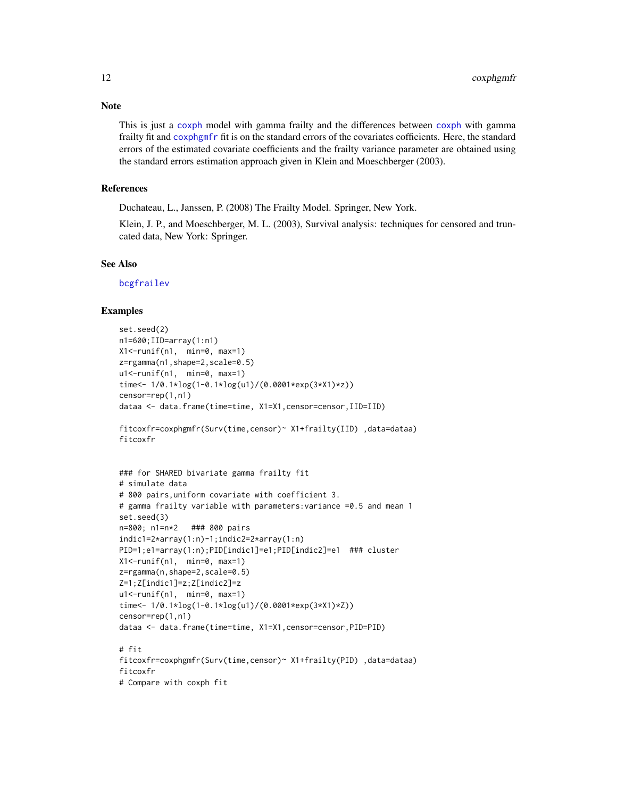This is just a [coxph](#page-0-0) model with gamma frailty and the differences between [coxph](#page-0-0) with gamma frailty fit and [coxphgmfr](#page-9-1) fit is on the standard errors of the covariates cofficients. Here, the standard errors of the estimated covariate coefficients and the frailty variance parameter are obtained using the standard errors estimation approach given in Klein and Moeschberger (2003).

# References

Duchateau, L., Janssen, P. (2008) The Frailty Model. Springer, New York.

Klein, J. P., and Moeschberger, M. L. (2003), Survival analysis: techniques for censored and truncated data, New York: Springer.

# See Also

[bcgfrailev](#page-6-1)

#### Examples

```
set.seed(2)
n1=600;IID=array(1:n1)
X1 <- runif(n1, min=0, max=1)
z=rgamma(n1,shape=2,scale=0.5)
u1<-runif(n1, min=0, max=1)
time<- 1/0.1*log(1-0.1*log(u1)/(0.0001*exp(3*X1)*z))
censor=rep(1,n1)
dataa <- data.frame(time=time, X1=X1,censor=censor,IID=IID)
fitcoxfr=coxphgmfr(Surv(time,censor)~ X1+frailty(IID) ,data=dataa)
fitcoxfr
### for SHARED bivariate gamma frailty fit
# simulate data
# 800 pairs,uniform covariate with coefficient 3.
# gamma frailty variable with parameters:variance =0.5 and mean 1
set.seed(3)
n=800; n1=n*2 ### 800 pairs
indic1=2*array(1:n)-1;indic2=2*array(1:n)
PID=1;e1=array(1:n);PID[indic1]=e1;PID[indic2]=e1 ### cluster
X1 <- runif(n1, min=0, max=1)
z=rgamma(n,shape=2,scale=0.5)
Z=1;Z[indic1]=z;Z[indic2]=z
u1 <- runif(n1, min=0, max=1)
time<- 1/0.1*log(1-0.1*log(u1)/(0.0001*exp(3*X1)*Z))
censor=rep(1,n1)
dataa <- data.frame(time=time, X1=X1,censor=censor,PID=PID)
# fit
fitcoxfr=coxphgmfr(Surv(time,censor)~ X1+frailty(PID) ,data=dataa)
fitcoxfr
# Compare with coxph fit
```
# <span id="page-11-0"></span>Note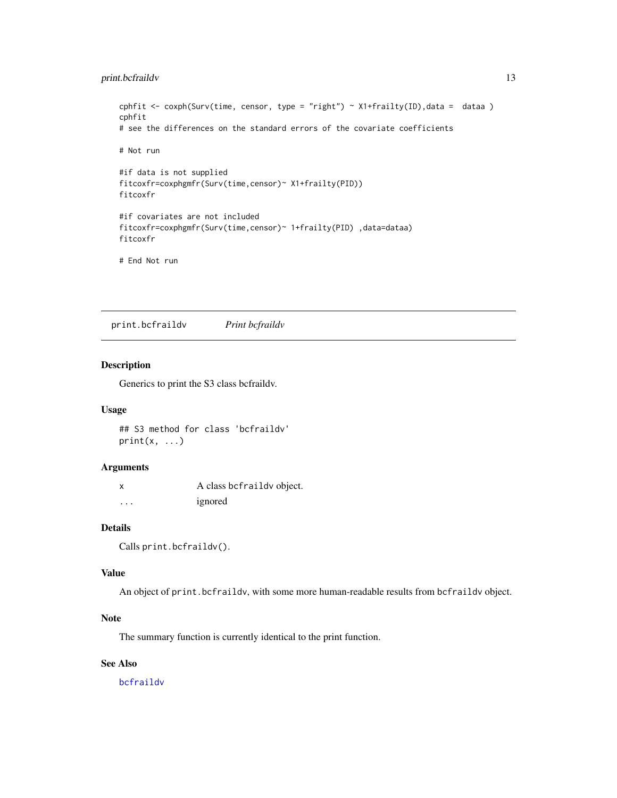# <span id="page-12-0"></span>print.bcfraildv 13

```
cphfit <- coxph(Surv(time, censor, type = "right") ~ X1+frailty(ID), data = dataa)
cphfit
# see the differences on the standard errors of the covariate coefficients
# Not run
#if data is not supplied
fitcoxfr=coxphgmfr(Surv(time,censor)~ X1+frailty(PID))
fitcoxfr
#if covariates are not included
fitcoxfr=coxphgmfr(Surv(time,censor)~ 1+frailty(PID) ,data=dataa)
fitcoxfr
# End Not run
```
print.bcfraildv *Print bcfraildv*

# Description

Generics to print the S3 class bcfraildv.

# Usage

## S3 method for class 'bcfraildv'  $print(x, \ldots)$ 

#### Arguments

x A class bcfraildv object. ... ignored

# Details

Calls print.bcfraildv().

# Value

An object of print.bcfraildv, with some more human-readable results from bcfraildv object.

# Note

The summary function is currently identical to the print function.

# See Also

[bcfraildv](#page-1-1)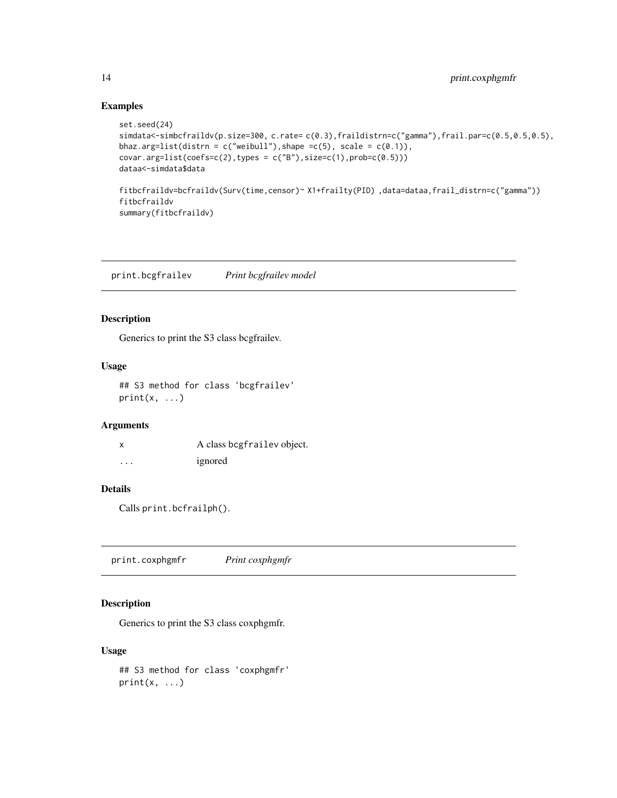# Examples

```
set.seed(24)
simdata<-simbcfraildv(p.size=300, c.rate= c(0.3),fraildistrn=c("gamma"),frail.par=c(0.5,0.5,0.5),
bhaz.arg=list(distrn = c("weibull"), shape =c(5), scale = c(0.1)),
covar.argv=list(coeffs=c(2),types = c("B"),size=c(1),probe=c(0.5)))dataa<-simdata$data
fitbcfraildv=bcfraildv(Surv(time,censor)~ X1+frailty(PID) ,data=dataa,frail_distrn=c("gamma"))
fitbcfraildv
summary(fitbcfraildv)
```
print.bcgfrailev *Print bcgfrailev model*

#### Description

Generics to print the S3 class bcgfrailev.

# Usage

```
## S3 method for class 'bcgfrailev'
print(x, \ldots)
```
#### Arguments

|         | A class begfrailev object. |
|---------|----------------------------|
| $\cdot$ | ignored                    |

# Details

Calls print.bcfrailph().

print.coxphgmfr *Print coxphgmfr*

# Description

Generics to print the S3 class coxphgmfr.

#### Usage

```
## S3 method for class 'coxphgmfr'
print(x, \ldots)
```
<span id="page-13-0"></span>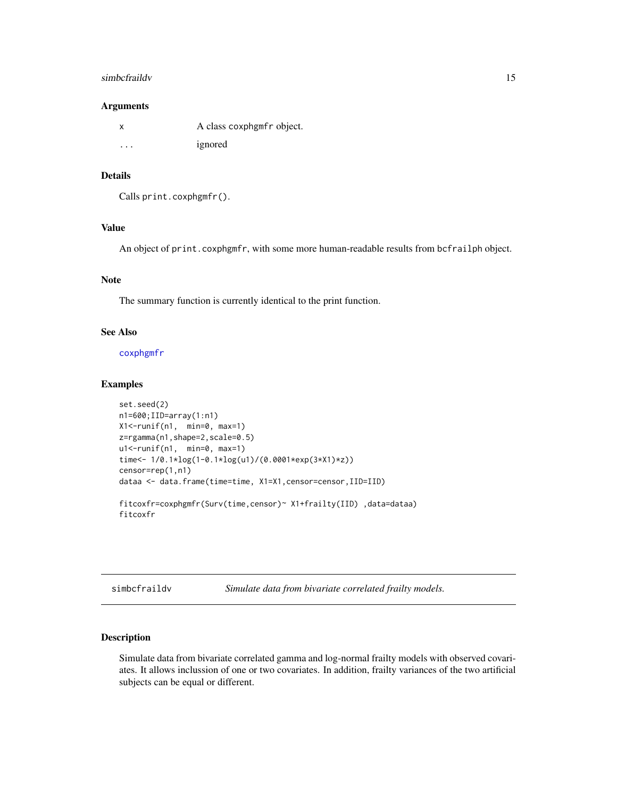#### <span id="page-14-0"></span>simbcfraildv 15

#### **Arguments**

|         | A class coxphgmfr object. |
|---------|---------------------------|
| $\cdot$ | ignored                   |

#### Details

```
Calls print.coxphgmfr().
```
# Value

An object of print.coxphgmfr, with some more human-readable results from bcfrailph object.

# Note

The summary function is currently identical to the print function.

#### See Also

[coxphgmfr](#page-9-1)

#### Examples

```
set.seed(2)
n1=600;IID=array(1:n1)
X1<-runif(n1, min=0, max=1)
z=rgamma(n1,shape=2,scale=0.5)
u1<-runif(n1, min=0, max=1)
time<- 1/0.1*log(1-0.1*log(u1)/(0.0001*exp(3*X1)*z))
censor=rep(1,n1)
dataa <- data.frame(time=time, X1=X1,censor=censor,IID=IID)
fitcoxfr=coxphgmfr(Surv(time,censor)~ X1+frailty(IID) ,data=dataa)
fitcoxfr
```
<span id="page-14-1"></span>simbcfraildv *Simulate data from bivariate correlated frailty models.*

#### Description

Simulate data from bivariate correlated gamma and log-normal frailty models with observed covariates. It allows inclussion of one or two covariates. In addition, frailty variances of the two artificial subjects can be equal or different.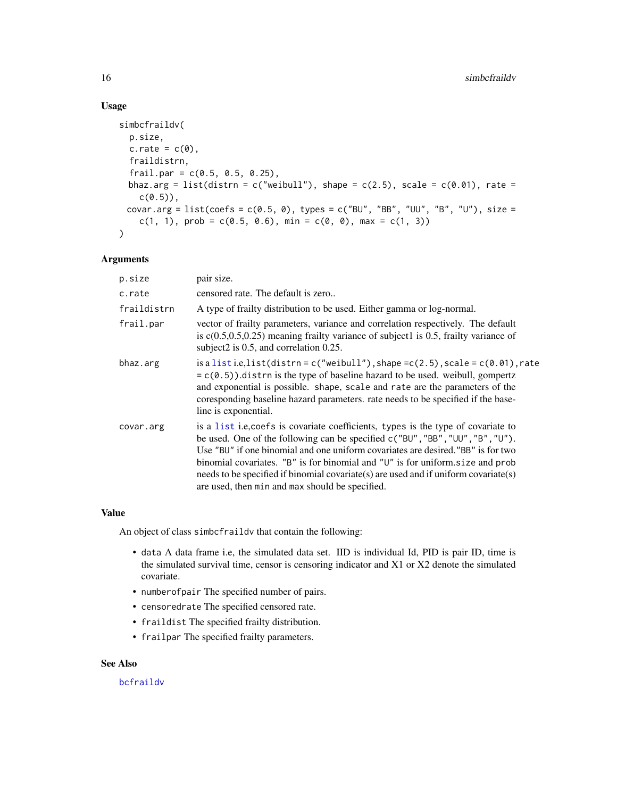# Usage

```
simbcfraildv(
 p.size,
 c.\text{rate} = c(0),fraildistrn,
  frail.par = c(0.5, 0.5, 0.25),
 bhaz.arg = list(distrn = c("weibull"), shape = c(2.5), scale = c(0.01), rate =
    c(0.5),
 covar.arg = list(coefs = c(0.5, 0), types = c("BU", "BB", "UU", "B", "U"), size =
    c(1, 1), prob = c(0.5, 0.6), min = c(0, 0), max = c(1, 3))
\mathcal{L}
```
## Arguments

| p.size      | pair size.                                                                                                                                                                                                                                                                                                                                                                                                                                                                            |
|-------------|---------------------------------------------------------------------------------------------------------------------------------------------------------------------------------------------------------------------------------------------------------------------------------------------------------------------------------------------------------------------------------------------------------------------------------------------------------------------------------------|
| c.rate      | censored rate. The default is zero                                                                                                                                                                                                                                                                                                                                                                                                                                                    |
| fraildistrn | A type of frailty distribution to be used. Either gamma or log-normal.                                                                                                                                                                                                                                                                                                                                                                                                                |
| frail.par   | vector of frailty parameters, variance and correlation respectively. The default<br>is $c(0.5, 0.5, 0.25)$ meaning frailty variance of subject1 is 0.5, frailty variance of<br>subject2 is 0.5, and correlation 0.25.                                                                                                                                                                                                                                                                 |
| bhaz.arg    | is a list i.e. list (distrn = c("weibull"), shape = c(2.5), scale = c(0.01), rate<br>$= c(0.5)$ ).distrn is the type of baseline hazard to be used. weibull, gompertz<br>and exponential is possible. shape, scale and rate are the parameters of the<br>coresponding baseline hazard parameters, rate needs to be specified if the base-<br>line is exponential.                                                                                                                     |
| covar.arg   | is a list i.e, coefs is covariate coefficients, types is the type of covariate to<br>be used. One of the following can be specified c("BU", "BB", "UU", "B", "U").<br>Use "BU" if one binomial and one uniform covariates are desired. "BB" is for two<br>binomial covariates. "B" is for binomial and " $U$ " is for uniform size and prob<br>needs to be specified if binomial covariate(s) are used and if uniform covariate(s)<br>are used, then min and max should be specified. |

#### Value

An object of class simbcfraildv that contain the following:

- data A data frame i.e, the simulated data set. IID is individual Id, PID is pair ID, time is the simulated survival time, censor is censoring indicator and X1 or X2 denote the simulated covariate.
- numberofpair The specified number of pairs.
- censoredrate The specified censored rate.
- fraildist The specified frailty distribution.
- frailpar The specified frailty parameters.

# See Also

[bcfraildv](#page-1-1)

<span id="page-15-0"></span>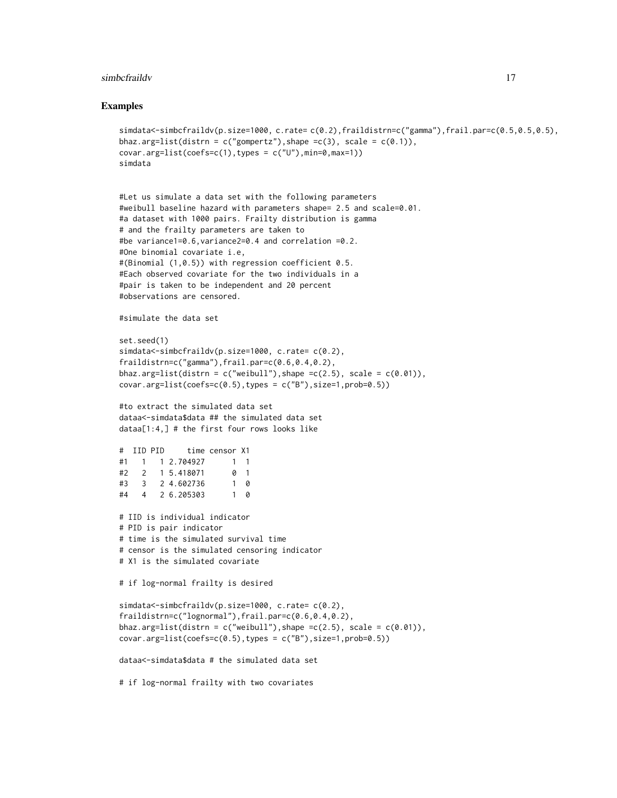#### simbcfraildv **17**

#### Examples

```
simdata<-simbcfraildv(p.size=1000, c.rate= c(0.2),fraildistrn=c("gamma"),frail.par=c(0.5,0.5,0.5),
bhaz.arg=list(distrn = c("gompertz"), shape = c(3), scale = c(0.1)),covar.arg=list(coefs=c(1),types = c("U"),min=0,max=1))
simdata
#Let us simulate a data set with the following parameters
#weibull baseline hazard with parameters shape= 2.5 and scale=0.01.
#a dataset with 1000 pairs. Frailty distribution is gamma
# and the frailty parameters are taken to
#be variance1=0.6,variance2=0.4 and correlation =0.2.
#One binomial covariate i.e,
#(Binomial (1,0.5)) with regression coefficient 0.5.
#Each observed covariate for the two individuals in a
#pair is taken to be independent and 20 percent
#observations are censored.
#simulate the data set
set.seed(1)
simdata<-simbcfraildv(p.size=1000, c.rate= c(0.2),
fraildistrn=c("gamma"),frail.par=c(0.6,0.4,0.2),
bhaz.arg=list(distrn = c("weibull"), shape =c(2.5), scale = c(0.01)),
covar.\arg=list(coeffs=c(0.5),types = c("B"),size=1,prob=0.5))#to extract the simulated data set
dataa<-simdata$data ## the simulated data set
dataa[1:4,] # the first four rows looks like
# IID PID time censor X1
#1 1 1 2.704927 1 1
#2 2 1 5.418071
#3 3 2 4.602736 1 0
#4 4 2 6.205303 1 0
# IID is individual indicator
# PID is pair indicator
# time is the simulated survival time
# censor is the simulated censoring indicator
# X1 is the simulated covariate
# if log-normal frailty is desired
simdata<-simbcfraildv(p.size=1000, c.rate= c(0.2),
fraildistrn=c("lognormal"),frail.par=c(0.6,0.4,0.2),
bhaz.arg=list(distrn = c("weibull"), shape =c(2.5), scale = c(0.01)),
covar.argv=list(coeffs=c(0.5),type = c("B"),size=1,prob=0.5)dataa<-simdata$data # the simulated data set
# if log-normal frailty with two covariates
```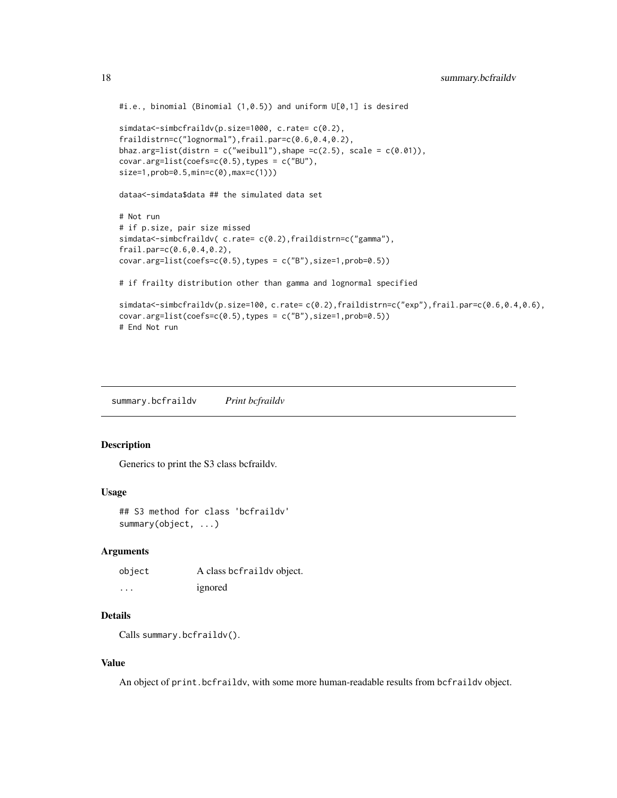```
#i.e., binomial (Binomial (1,0.5)) and uniform U[0,1] is desired
simdata<-simbcfraildv(p.size=1000, c.rate= c(0.2),
fraildistrn=c("lognormal"),frail.par=c(0.6,0.4,0.2),
bhaz.arg=list(distrn = c("weibull"), shape =c(2.5), scale = c(0.01)),
covar.arg=list(coefs=c(0.5),types = c("BU"),
size=1,prob=0.5,min=c(0),max=c(1)))
dataa<-simdata$data ## the simulated data set
# Not run
# if p.size, pair size missed
simdata<-simbcfraildv( c.rate= c(0.2),fraildistrn=c("gamma"),
frail.par=c(0.6,0.4,0.2),
covar.arg=list(coefs=c(0.5),types = c("B"),size=1,prob=0.5))
# if frailty distribution other than gamma and lognormal specified
simdata<-simbcfraildv(p.size=100, c.rate= c(0.2),fraildistrn=c("exp"),frail.par=c(0.6,0.4,0.6),
covar.\arg=list(coeffs=c(0.5),types = c("B"),size=1,prob=0.5))# End Not run
```
summary.bcfraildv *Print bcfraildv*

#### Description

Generics to print the S3 class bcfraildv.

# Usage

```
## S3 method for class 'bcfraildv'
summary(object, ...)
```
#### Arguments

| object | A class befraildy object. |
|--------|---------------------------|
| .      | ignored                   |

# Details

Calls summary.bcfraildv().

# Value

An object of print.bcfraildv, with some more human-readable results from bcfraildv object.

<span id="page-17-0"></span>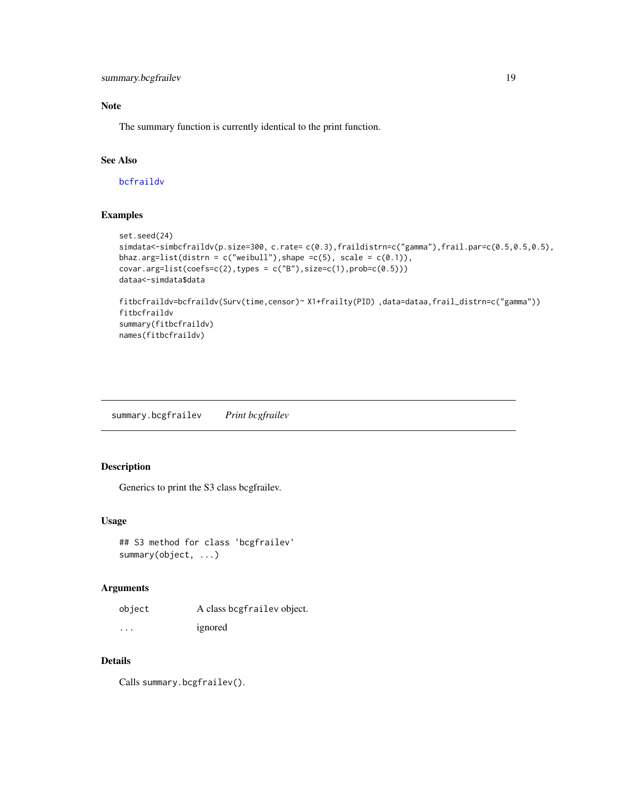<span id="page-18-0"></span>summary.bcgfrailev 19

# Note

The summary function is currently identical to the print function.

# See Also

[bcfraildv](#page-1-1)

# Examples

```
set.seed(24)
simdata<-simbcfraildv(p.size=300, c.rate= c(0.3),fraildistrn=c("gamma"),frail.par=c(0.5,0.5,0.5),
bhaz.arg=list(distrn = c("weibull"), shape =c(5), scale = c(0.1)),
covar.arg=list(coefs=c(2),types = c("B"),size=c(1),prob=c(0.5)))
dataa<-simdata$data
fitbcfraildv=bcfraildv(Surv(time,censor)~ X1+frailty(PID) ,data=dataa,frail_distrn=c("gamma"))
fitbcfraildv
summary(fitbcfraildv)
names(fitbcfraildv)
```
summary.bcgfrailev *Print bcgfrailev*

# Description

Generics to print the S3 class bcgfrailev.

# Usage

```
## S3 method for class 'bcgfrailev'
summary(object, ...)
```
#### Arguments

| object   | A class begfrailev object. |
|----------|----------------------------|
| $\cdots$ | ignored                    |

# Details

Calls summary.bcgfrailev().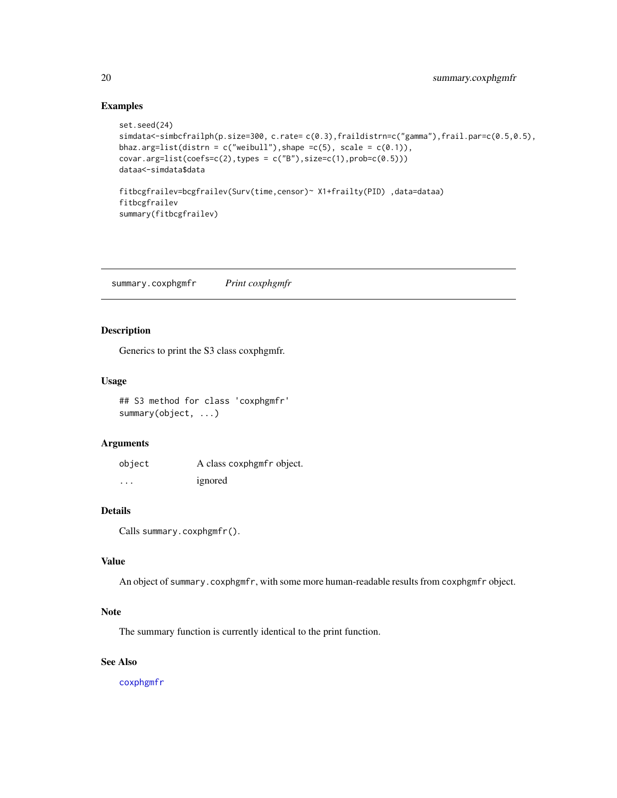# Examples

```
set.seed(24)
simdata<-simbcfrailph(p.size=300, c.rate= c(0.3),fraildistrn=c("gamma"),frail.par=c(0.5,0.5),
bhaz.arg=list(distrn = c("weibull"), shape =c(5), scale = c(0.1)),
covar.argv=list(coeffs=c(2),types = c("B"),size=c(1),probe=c(0.5)))dataa<-simdata$data
fitbcgfrailev=bcgfrailev(Surv(time,censor)~ X1+frailty(PID) ,data=dataa)
fitbcgfrailev
summary(fitbcgfrailev)
```
summary.coxphgmfr *Print coxphgmfr*

# Description

Generics to print the S3 class coxphgmfr.

# Usage

## S3 method for class 'coxphgmfr' summary(object, ...)

# Arguments

| object | A class coxphgmfr object. |
|--------|---------------------------|
| .      | ignored                   |

# Details

```
Calls summary.coxphgmfr().
```
# Value

An object of summary.coxphgmfr, with some more human-readable results from coxphgmfr object.

#### Note

The summary function is currently identical to the print function.

# See Also

[coxphgmfr](#page-9-1)

<span id="page-19-0"></span>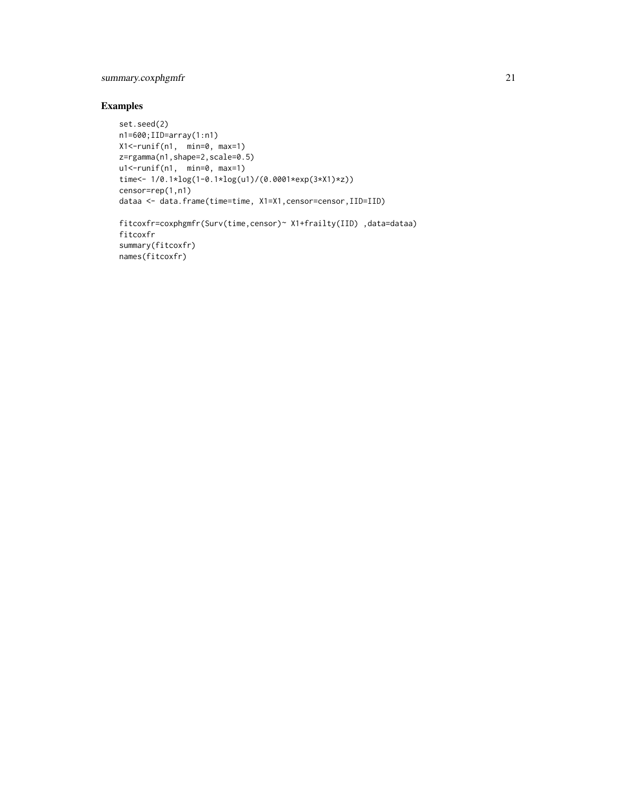# summary.coxphgmfr 21

# Examples

```
set.seed(2)
n1=600;IID=array(1:n1)
X1<-runif(n1, min=0, max=1)
z=rgamma(n1,shape=2,scale=0.5)
u1<-runif(n1, min=0, max=1)
time<- 1/0.1*log(1-0.1*log(u1)/(0.0001*exp(3*X1)*z))
censor=rep(1,n1)
dataa <- data.frame(time=time, X1=X1,censor=censor,IID=IID)
fitcoxfr=coxphgmfr(Surv(time,censor)~ X1+frailty(IID) ,data=dataa)
fitcoxfr
summary(fitcoxfr)
names(fitcoxfr)
```